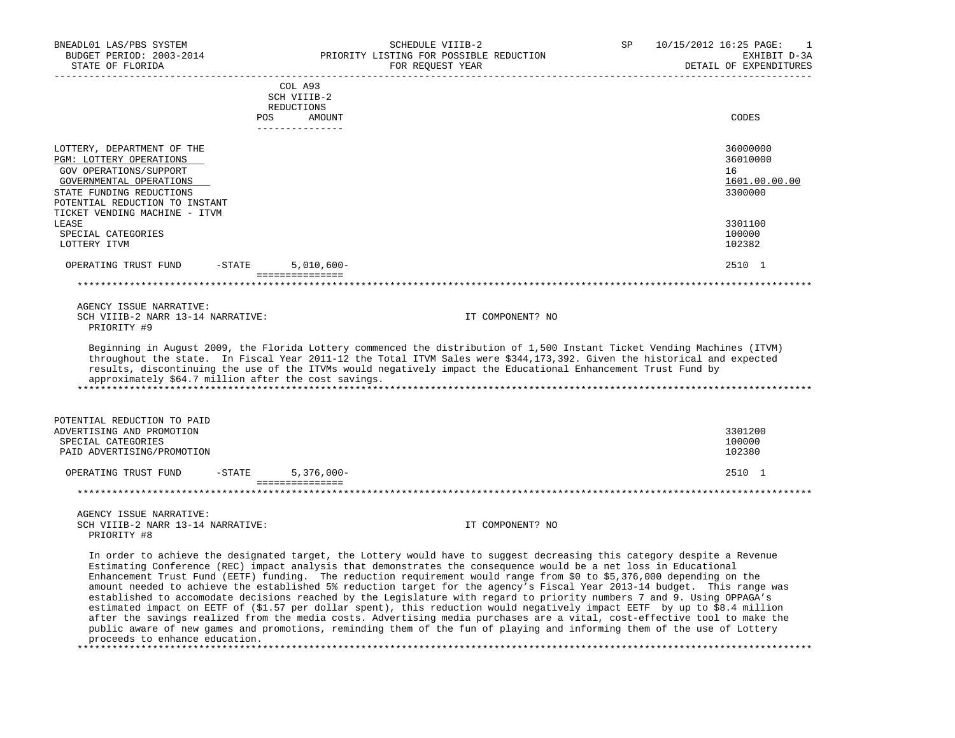| BNEADL01 LAS/PBS SYSTEM<br>BUDGET PERIOD: 2003-2014<br>STATE OF FLORIDA     | SCHEDULE VIIIB-2<br>PRIORITY LISTING FOR POSSIBLE REDUCTION<br>FOR REQUEST YEAR                                                                                                                                                                                                                                                                                                                                                                                                                                                                                                                                                                                                                                                                                                                                                                                                                                                                                                                                 | SP<br>10/15/2012 16:25 PAGE:<br>1<br>EXHIBIT D-3A<br>DETAIL OF EXPENDITURES |
|-----------------------------------------------------------------------------|-----------------------------------------------------------------------------------------------------------------------------------------------------------------------------------------------------------------------------------------------------------------------------------------------------------------------------------------------------------------------------------------------------------------------------------------------------------------------------------------------------------------------------------------------------------------------------------------------------------------------------------------------------------------------------------------------------------------------------------------------------------------------------------------------------------------------------------------------------------------------------------------------------------------------------------------------------------------------------------------------------------------|-----------------------------------------------------------------------------|
|                                                                             | COL A93                                                                                                                                                                                                                                                                                                                                                                                                                                                                                                                                                                                                                                                                                                                                                                                                                                                                                                                                                                                                         |                                                                             |
|                                                                             | SCH VIIIB-2                                                                                                                                                                                                                                                                                                                                                                                                                                                                                                                                                                                                                                                                                                                                                                                                                                                                                                                                                                                                     |                                                                             |
|                                                                             | REDUCTIONS                                                                                                                                                                                                                                                                                                                                                                                                                                                                                                                                                                                                                                                                                                                                                                                                                                                                                                                                                                                                      |                                                                             |
|                                                                             | POS AMOUNT<br>_______________                                                                                                                                                                                                                                                                                                                                                                                                                                                                                                                                                                                                                                                                                                                                                                                                                                                                                                                                                                                   | CODES                                                                       |
| LOTTERY, DEPARTMENT OF THE                                                  |                                                                                                                                                                                                                                                                                                                                                                                                                                                                                                                                                                                                                                                                                                                                                                                                                                                                                                                                                                                                                 | 36000000                                                                    |
| PGM: LOTTERY OPERATIONS                                                     |                                                                                                                                                                                                                                                                                                                                                                                                                                                                                                                                                                                                                                                                                                                                                                                                                                                                                                                                                                                                                 | 36010000                                                                    |
| GOV OPERATIONS/SUPPORT<br>GOVERNMENTAL OPERATIONS                           |                                                                                                                                                                                                                                                                                                                                                                                                                                                                                                                                                                                                                                                                                                                                                                                                                                                                                                                                                                                                                 | 16<br>1601.00.00.00                                                         |
| STATE FUNDING REDUCTIONS                                                    |                                                                                                                                                                                                                                                                                                                                                                                                                                                                                                                                                                                                                                                                                                                                                                                                                                                                                                                                                                                                                 | 3300000                                                                     |
| POTENTIAL REDUCTION TO INSTANT                                              |                                                                                                                                                                                                                                                                                                                                                                                                                                                                                                                                                                                                                                                                                                                                                                                                                                                                                                                                                                                                                 |                                                                             |
| TICKET VENDING MACHINE - ITVM                                               |                                                                                                                                                                                                                                                                                                                                                                                                                                                                                                                                                                                                                                                                                                                                                                                                                                                                                                                                                                                                                 |                                                                             |
| LEASE                                                                       |                                                                                                                                                                                                                                                                                                                                                                                                                                                                                                                                                                                                                                                                                                                                                                                                                                                                                                                                                                                                                 | 3301100                                                                     |
| SPECIAL CATEGORIES<br>LOTTERY ITVM                                          |                                                                                                                                                                                                                                                                                                                                                                                                                                                                                                                                                                                                                                                                                                                                                                                                                                                                                                                                                                                                                 | 100000<br>102382                                                            |
| OPERATING TRUST FUND<br>$-$ STATE                                           | $5,010,600 -$                                                                                                                                                                                                                                                                                                                                                                                                                                                                                                                                                                                                                                                                                                                                                                                                                                                                                                                                                                                                   | 2510 1                                                                      |
|                                                                             | ===============                                                                                                                                                                                                                                                                                                                                                                                                                                                                                                                                                                                                                                                                                                                                                                                                                                                                                                                                                                                                 |                                                                             |
| AGENCY ISSUE NARRATIVE:                                                     |                                                                                                                                                                                                                                                                                                                                                                                                                                                                                                                                                                                                                                                                                                                                                                                                                                                                                                                                                                                                                 |                                                                             |
| SCH VIIIB-2 NARR 13-14 NARRATIVE:<br>PRIORITY #9                            | IT COMPONENT? NO                                                                                                                                                                                                                                                                                                                                                                                                                                                                                                                                                                                                                                                                                                                                                                                                                                                                                                                                                                                                |                                                                             |
| approximately \$64.7 million after the cost savings.                        | throughout the state. In Fiscal Year 2011-12 the Total ITVM Sales were \$344,173,392. Given the historical and expected<br>results, discontinuing the use of the ITVMs would negatively impact the Educational Enhancement Trust Fund by                                                                                                                                                                                                                                                                                                                                                                                                                                                                                                                                                                                                                                                                                                                                                                        |                                                                             |
| POTENTIAL REDUCTION TO PAID                                                 |                                                                                                                                                                                                                                                                                                                                                                                                                                                                                                                                                                                                                                                                                                                                                                                                                                                                                                                                                                                                                 |                                                                             |
| ADVERTISING AND PROMOTION                                                   |                                                                                                                                                                                                                                                                                                                                                                                                                                                                                                                                                                                                                                                                                                                                                                                                                                                                                                                                                                                                                 | 3301200                                                                     |
| SPECIAL CATEGORIES                                                          |                                                                                                                                                                                                                                                                                                                                                                                                                                                                                                                                                                                                                                                                                                                                                                                                                                                                                                                                                                                                                 | 100000                                                                      |
| PAID ADVERTISING/PROMOTION                                                  |                                                                                                                                                                                                                                                                                                                                                                                                                                                                                                                                                                                                                                                                                                                                                                                                                                                                                                                                                                                                                 | 102380                                                                      |
| OPERATING TRUST FUND<br>$-$ STATE                                           | $5,376,000 -$<br>===============                                                                                                                                                                                                                                                                                                                                                                                                                                                                                                                                                                                                                                                                                                                                                                                                                                                                                                                                                                                | 2510 1                                                                      |
|                                                                             |                                                                                                                                                                                                                                                                                                                                                                                                                                                                                                                                                                                                                                                                                                                                                                                                                                                                                                                                                                                                                 |                                                                             |
| AGENCY ISSUE NARRATIVE:<br>SCH VIIIB-2 NARR 13-14 NARRATIVE:<br>PRIORITY #8 | IT COMPONENT? NO                                                                                                                                                                                                                                                                                                                                                                                                                                                                                                                                                                                                                                                                                                                                                                                                                                                                                                                                                                                                |                                                                             |
| proceeds to enhance education.                                              | In order to achieve the designated target, the Lottery would have to suggest decreasing this category despite a Revenue<br>Estimating Conference (REC) impact analysis that demonstrates the consequence would be a net loss in Educational<br>Enhancement Trust Fund (EETF) funding. The reduction requirement would range from \$0 to \$5,376,000 depending on the<br>amount needed to achieve the established 5% reduction target for the agency's Fiscal Year 2013-14 budget. This range was<br>established to accomodate decisions reached by the Legislature with regard to priority numbers 7 and 9. Using OPPAGA's<br>estimated impact on EETF of (\$1.57 per dollar spent), this reduction would negatively impact EETF by up to \$8.4 million<br>after the savings realized from the media costs. Advertising media purchases are a vital, cost-effective tool to make the<br>public aware of new games and promotions, reminding them of the fun of playing and informing them of the use of Lottery |                                                                             |

\*\*\*\*\*\*\*\*\*\*\*\*\*\*\*\*\*\*\*\*\*\*\*\*\*\*\*\*\*\*\*\*\*\*\*\*\*\*\*\*\*\*\*\*\*\*\*\*\*\*\*\*\*\*\*\*\*\*\*\*\*\*\*\*\*\*\*\*\*\*\*\*\*\*\*\*\*\*\*\*\*\*\*\*\*\*\*\*\*\*\*\*\*\*\*\*\*\*\*\*\*\*\*\*\*\*\*\*\*\*\*\*\*\*\*\*\*\*\*\*\*\*\*\*\*\*\*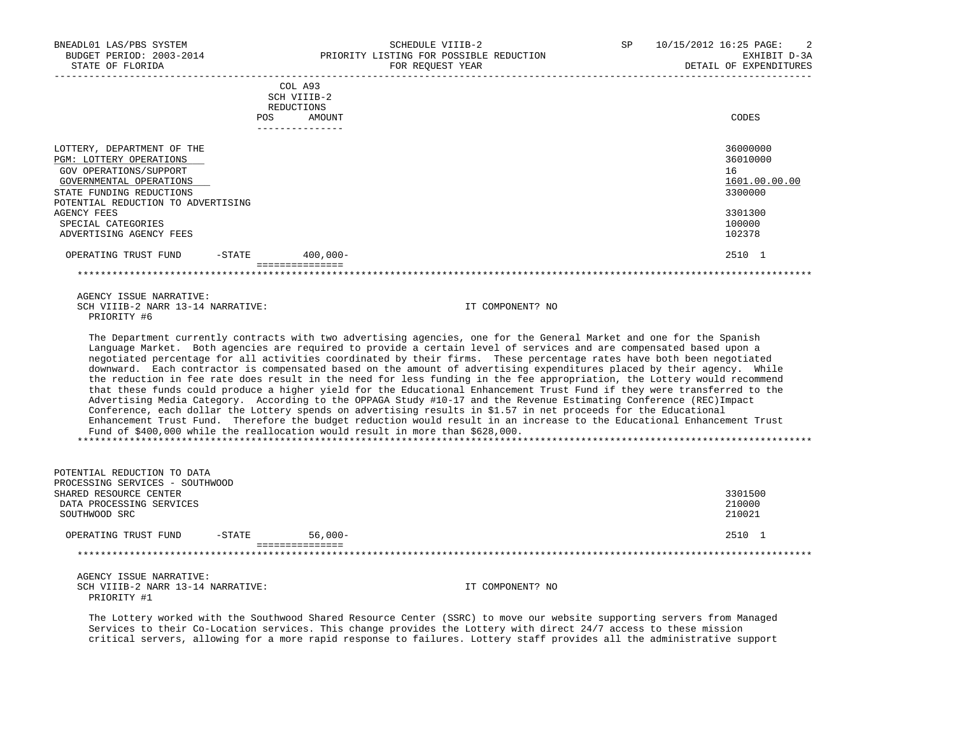| BNEADL01 LAS/PBS SYSTEM<br>BUDGET PERIOD: 2003-2014<br>STATE OF FLORIDA | SCHEDULE VIIIB-2<br>PRIORITY LISTING FOR POSSIBLE REDUCTION<br>FOR REOUEST YEAR | $\sim$ 2<br>10/15/2012 16:25 PAGE:<br>SP.<br>EXHIBIT D-3A<br>DETAIL OF EXPENDITURES |
|-------------------------------------------------------------------------|---------------------------------------------------------------------------------|-------------------------------------------------------------------------------------|
|                                                                         | COL A93<br>SCH VIIIB-2<br>REDUCTIONS                                            |                                                                                     |
|                                                                         | AMOUNT<br>POS.                                                                  | CODES                                                                               |
| LOTTERY, DEPARTMENT OF THE                                              |                                                                                 | 36000000                                                                            |
| PGM: LOTTERY OPERATIONS                                                 |                                                                                 | 36010000                                                                            |
| GOV OPERATIONS/SUPPORT                                                  |                                                                                 | 16                                                                                  |
| GOVERNMENTAL OPERATIONS                                                 |                                                                                 | 1601.00.00.00                                                                       |
| STATE FUNDING REDUCTIONS                                                |                                                                                 | 3300000                                                                             |

STATE FUNDING REDUCTIONS POTENTIAL REDUCTION TO ADVERTISING AGENCY FEES 3301300 SPECIAL CATEGORIES 100000 PHOTOS SERVICES AND SERVICES AND SERVICES AND SERVICES AND SERVICES AND SERVICES AND SERVICE SERVICES AND SERVICE SERVICES AND SERVICE SERVICES AND SERVICE SERVICES AND SERVICE SERVICE SERVICE SER ADVERTISING AGENCY FEES OPERATING TRUST FUND -STATE 400,000-<br>
2510 1 ================= \*\*\*\*\*\*\*\*\*\*\*\*\*\*\*\*\*\*\*\*\*\*\*\*\*\*\*\*\*\*\*\*\*\*\*\*\*\*\*\*\*\*\*\*\*\*\*\*\*\*\*\*\*\*\*\*\*\*\*\*\*\*\*\*\*\*\*\*\*\*\*\*\*\*\*\*\*\*\*\*\*\*\*\*\*\*\*\*\*\*\*\*\*\*\*\*\*\*\*\*\*\*\*\*\*\*\*\*\*\*\*\*\*\*\*\*\*\*\*\*\*\*\*\*\*\*\*

 AGENCY ISSUE NARRATIVE: SCH VIIIB-2 NARR 13-14 NARRATIVE: IT COMPONENT? NO PRIORITY #6

 The Department currently contracts with two advertising agencies, one for the General Market and one for the Spanish Language Market. Both agencies are required to provide a certain level of services and are compensated based upon a negotiated percentage for all activities coordinated by their firms. These percentage rates have both been negotiated downward. Each contractor is compensated based on the amount of advertising expenditures placed by their agency. While the reduction in fee rate does result in the need for less funding in the fee appropriation, the Lottery would recommend that these funds could produce a higher yield for the Educational Enhancement Trust Fund if they were transferred to the Advertising Media Category. According to the OPPAGA Study #10-17 and the Revenue Estimating Conference (REC)Impact Conference, each dollar the Lottery spends on advertising results in \$1.57 in net proceeds for the Educational Enhancement Trust Fund. Therefore the budget reduction would result in an increase to the Educational Enhancement Trust Fund of \$400,000 while the reallocation would result in more than \$628,000. \*\*\*\*\*\*\*\*\*\*\*\*\*\*\*\*\*\*\*\*\*\*\*\*\*\*\*\*\*\*\*\*\*\*\*\*\*\*\*\*\*\*\*\*\*\*\*\*\*\*\*\*\*\*\*\*\*\*\*\*\*\*\*\*\*\*\*\*\*\*\*\*\*\*\*\*\*\*\*\*\*\*\*\*\*\*\*\*\*\*\*\*\*\*\*\*\*\*\*\*\*\*\*\*\*\*\*\*\*\*\*\*\*\*\*\*\*\*\*\*\*\*\*\*\*\*\*

| POTENTIAL REDUCTION TO DATA<br>PROCESSING SERVICES - SOUTHWOOD              |        |                 |                  |                             |
|-----------------------------------------------------------------------------|--------|-----------------|------------------|-----------------------------|
| SHARED RESOURCE CENTER<br>DATA PROCESSING SERVICES<br>SOUTHWOOD SRC         |        |                 |                  | 3301500<br>210000<br>210021 |
| OPERATING TRUST FUND                                                        | -STATE | $56.000 -$      |                  | 2510 1                      |
|                                                                             |        | =============== |                  |                             |
| AGENCY ISSUE NARRATIVE:<br>SCH VIIIB-2 NARR 13-14 NARRATIVE:<br>PRIORITY #1 |        |                 | IT COMPONENT? NO |                             |

 The Lottery worked with the Southwood Shared Resource Center (SSRC) to move our website supporting servers from Managed Services to their Co-Location services. This change provides the Lottery with direct 24/7 access to these mission critical servers, allowing for a more rapid response to failures. Lottery staff provides all the administrative support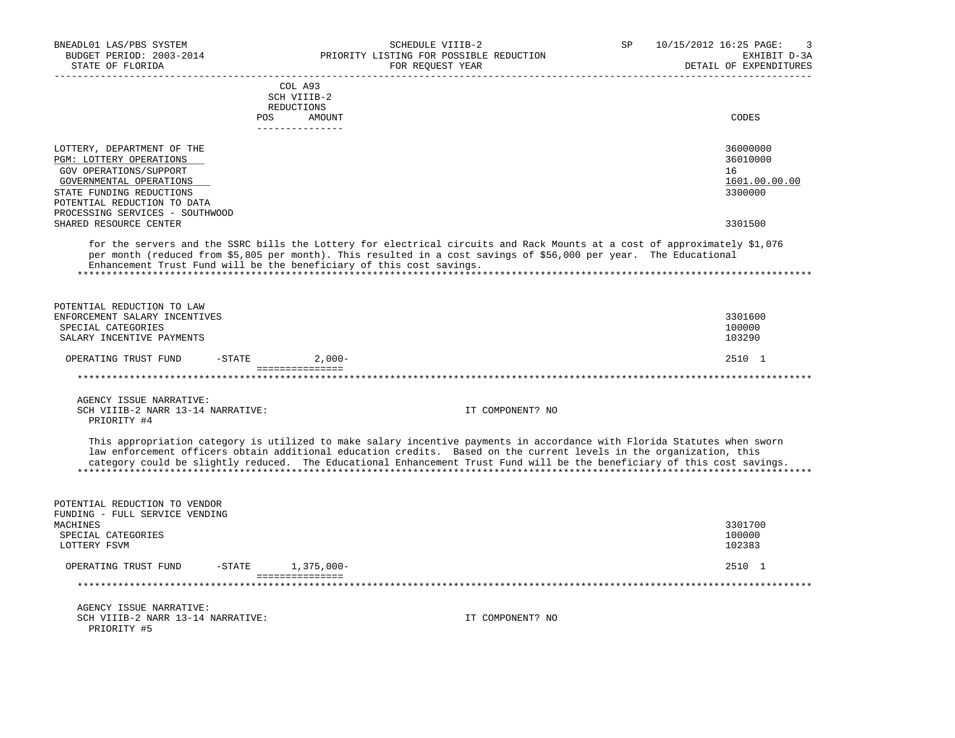| BNEADL01 LAS/PBS SYSTEM                                         | SCHEDULE VIIIB-2                                                                                                                                                                                                                                                                                                                                                            | SP | 10/15/2012 16:25 PAGE:<br>3            |
|-----------------------------------------------------------------|-----------------------------------------------------------------------------------------------------------------------------------------------------------------------------------------------------------------------------------------------------------------------------------------------------------------------------------------------------------------------------|----|----------------------------------------|
| BUDGET PERIOD: 2003-2014<br>STATE OF FLORIDA                    | PRIORITY LISTING FOR POSSIBLE REDUCTION<br>FOR REQUEST YEAR                                                                                                                                                                                                                                                                                                                 |    | EXHIBIT D-3A<br>DETAIL OF EXPENDITURES |
|                                                                 |                                                                                                                                                                                                                                                                                                                                                                             |    |                                        |
|                                                                 | COL A93<br>SCH VIIIB-2                                                                                                                                                                                                                                                                                                                                                      |    |                                        |
|                                                                 | REDUCTIONS                                                                                                                                                                                                                                                                                                                                                                  |    |                                        |
|                                                                 | POS<br>AMOUNT                                                                                                                                                                                                                                                                                                                                                               |    | CODES                                  |
|                                                                 | _______________                                                                                                                                                                                                                                                                                                                                                             |    |                                        |
| LOTTERY, DEPARTMENT OF THE                                      |                                                                                                                                                                                                                                                                                                                                                                             |    | 36000000                               |
| PGM: LOTTERY OPERATIONS                                         |                                                                                                                                                                                                                                                                                                                                                                             |    | 36010000                               |
| <b>GOV OPERATIONS/SUPPORT</b>                                   |                                                                                                                                                                                                                                                                                                                                                                             |    | 16                                     |
| GOVERNMENTAL OPERATIONS                                         |                                                                                                                                                                                                                                                                                                                                                                             |    | 1601.00.00.00                          |
| STATE FUNDING REDUCTIONS                                        |                                                                                                                                                                                                                                                                                                                                                                             |    | 3300000                                |
| POTENTIAL REDUCTION TO DATA                                     |                                                                                                                                                                                                                                                                                                                                                                             |    |                                        |
| PROCESSING SERVICES - SOUTHWOOD                                 |                                                                                                                                                                                                                                                                                                                                                                             |    |                                        |
| SHARED RESOURCE CENTER                                          |                                                                                                                                                                                                                                                                                                                                                                             |    | 3301500                                |
|                                                                 | for the servers and the SSRC bills the Lottery for electrical circuits and Rack Mounts at a cost of approximately \$1,076<br>per month (reduced from \$5,805 per month). This resulted in a cost savings of \$56,000 per year. The Educational<br>Enhancement Trust Fund will be the beneficiary of this cost savings.                                                      |    |                                        |
| POTENTIAL REDUCTION TO LAW                                      |                                                                                                                                                                                                                                                                                                                                                                             |    |                                        |
| ENFORCEMENT SALARY INCENTIVES                                   |                                                                                                                                                                                                                                                                                                                                                                             |    | 3301600                                |
| SPECIAL CATEGORIES                                              |                                                                                                                                                                                                                                                                                                                                                                             |    | 100000                                 |
| SALARY INCENTIVE PAYMENTS                                       |                                                                                                                                                                                                                                                                                                                                                                             |    | 103290                                 |
| OPERATING TRUST FUND<br>$-$ STATE                               | $2,000-$                                                                                                                                                                                                                                                                                                                                                                    |    | 2510 1                                 |
|                                                                 | ________________                                                                                                                                                                                                                                                                                                                                                            |    |                                        |
|                                                                 |                                                                                                                                                                                                                                                                                                                                                                             |    |                                        |
| AGENCY ISSUE NARRATIVE:                                         |                                                                                                                                                                                                                                                                                                                                                                             |    |                                        |
| SCH VIIIB-2 NARR 13-14 NARRATIVE:                               | IT COMPONENT? NO                                                                                                                                                                                                                                                                                                                                                            |    |                                        |
| PRIORITY #4                                                     |                                                                                                                                                                                                                                                                                                                                                                             |    |                                        |
|                                                                 | This appropriation category is utilized to make salary incentive payments in accordance with Florida Statutes when sworn<br>law enforcement officers obtain additional education credits. Based on the current levels in the organization, this<br>category could be slightly reduced. The Educational Enhancement Trust Fund will be the beneficiary of this cost savings. |    |                                        |
| POTENTIAL REDUCTION TO VENDOR<br>FUNDING - FULL SERVICE VENDING |                                                                                                                                                                                                                                                                                                                                                                             |    |                                        |
| MACHINES                                                        |                                                                                                                                                                                                                                                                                                                                                                             |    | 3301700                                |
| SPECIAL CATEGORIES<br>LOTTERY FSVM                              |                                                                                                                                                                                                                                                                                                                                                                             |    | 100000<br>102383                       |
|                                                                 |                                                                                                                                                                                                                                                                                                                                                                             |    |                                        |
| OPERATING TRUST FUND<br>$-$ STATE                               | 1,375,000-<br>================                                                                                                                                                                                                                                                                                                                                              |    | 2510 1                                 |
|                                                                 |                                                                                                                                                                                                                                                                                                                                                                             |    |                                        |
| AGENCY ISSUE NARRATIVE:                                         |                                                                                                                                                                                                                                                                                                                                                                             |    |                                        |
| SCH VIIIB-2 NARR 13-14 NARRATIVE:                               | IT COMPONENT? NO                                                                                                                                                                                                                                                                                                                                                            |    |                                        |
| PRIORITY #5                                                     |                                                                                                                                                                                                                                                                                                                                                                             |    |                                        |
|                                                                 |                                                                                                                                                                                                                                                                                                                                                                             |    |                                        |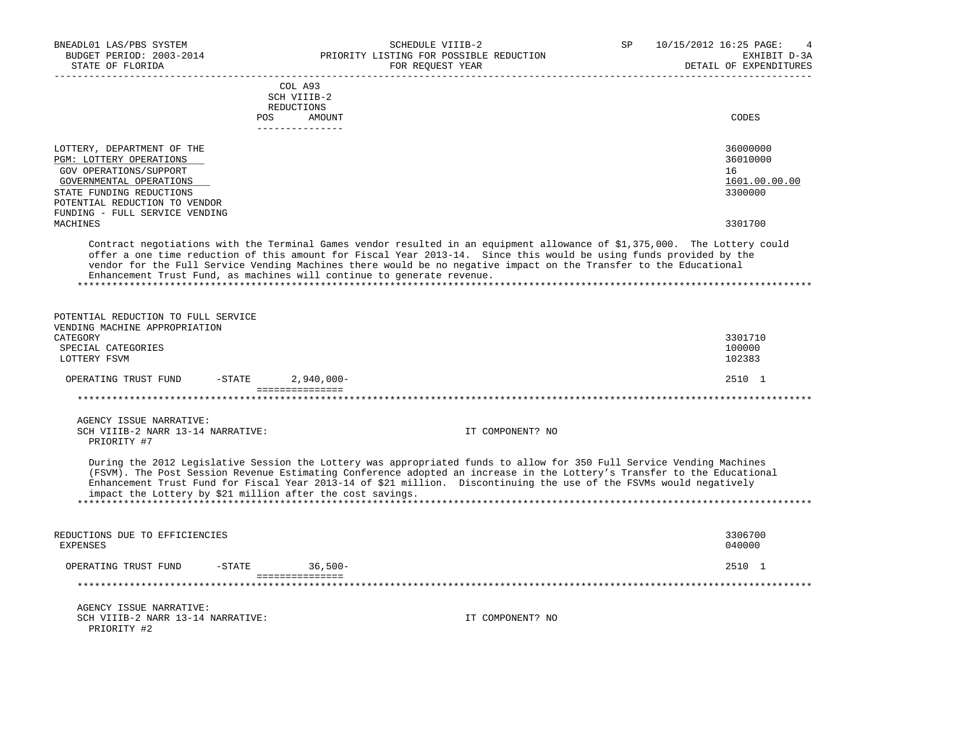| BNEADL01 LAS/PBS SYSTEM<br>BUDGET PERIOD: 2003-2014<br>STATE OF FLORIDA                                                                                                                                               | SCHEDULE VIIIB-2<br>PRIORITY LISTING FOR POSSIBLE REDUCTION<br>FOR REQUEST YEAR<br>_______________                                                                                                                                                                                                                                                                      | SP | 10/15/2012 16:25 PAGE:<br>4<br>EXHIBIT D-3A<br>DETAIL OF EXPENDITURES |
|-----------------------------------------------------------------------------------------------------------------------------------------------------------------------------------------------------------------------|-------------------------------------------------------------------------------------------------------------------------------------------------------------------------------------------------------------------------------------------------------------------------------------------------------------------------------------------------------------------------|----|-----------------------------------------------------------------------|
| COL A93<br>SCH VIIIB-2<br>REDUCTIONS<br>POS AMOUNT<br>---------------                                                                                                                                                 |                                                                                                                                                                                                                                                                                                                                                                         |    | CODES                                                                 |
| LOTTERY, DEPARTMENT OF THE<br>PGM: LOTTERY OPERATIONS<br>GOV OPERATIONS/SUPPORT<br>GOVERNMENTAL OPERATIONS<br>STATE FUNDING REDUCTIONS<br>POTENTIAL REDUCTION TO VENDOR<br>FUNDING - FULL SERVICE VENDING<br>MACHINES |                                                                                                                                                                                                                                                                                                                                                                         |    | 36000000<br>36010000<br>16<br>1601.00.00.00<br>3300000<br>3301700     |
| Enhancement Trust Fund, as machines will continue to generate revenue.                                                                                                                                                | Contract negotiations with the Terminal Games vendor resulted in an equipment allowance of \$1,375,000. The Lottery could<br>offer a one time reduction of this amount for Fiscal Year 2013-14. Since this would be using funds provided by the<br>vendor for the Full Service Vending Machines there would be no negative impact on the Transfer to the Educational    |    |                                                                       |
| POTENTIAL REDUCTION TO FULL SERVICE<br>VENDING MACHINE APPROPRIATION<br>CATEGORY<br>SPECIAL CATEGORIES<br>LOTTERY FSVM                                                                                                |                                                                                                                                                                                                                                                                                                                                                                         |    | 3301710<br>100000<br>102383                                           |
| OPERATING TRUST FUND<br>$-$ STATE<br>===============                                                                                                                                                                  | $2,940,000 -$                                                                                                                                                                                                                                                                                                                                                           |    | 2510 1                                                                |
| AGENCY ISSUE NARRATIVE:<br>SCH VIIIB-2 NARR 13-14 NARRATIVE:<br>PRIORITY #7                                                                                                                                           | IT COMPONENT? NO                                                                                                                                                                                                                                                                                                                                                        |    |                                                                       |
| impact the Lottery by \$21 million after the cost savings.                                                                                                                                                            | During the 2012 Legislative Session the Lottery was appropriated funds to allow for 350 Full Service Vending Machines<br>(FSVM). The Post Session Revenue Estimating Conference adopted an increase in the Lottery's Transfer to the Educational<br>Enhancement Trust Fund for Fiscal Year 2013-14 of \$21 million. Discontinuing the use of the FSVMs would negatively |    |                                                                       |
| REDUCTIONS DUE TO EFFICIENCIES<br><b>EXPENSES</b>                                                                                                                                                                     |                                                                                                                                                                                                                                                                                                                                                                         |    | 3306700<br>040000                                                     |
| OPERATING TRUST FUND<br>$-STATE$<br>===============                                                                                                                                                                   | $36,500-$                                                                                                                                                                                                                                                                                                                                                               |    | 2510 1                                                                |
|                                                                                                                                                                                                                       |                                                                                                                                                                                                                                                                                                                                                                         |    |                                                                       |
| AGENCY ISSUE NARRATIVE:<br>SCH VIIIB-2 NARR 13-14 NARRATIVE:<br>PRIORITY #2                                                                                                                                           | IT COMPONENT? NO                                                                                                                                                                                                                                                                                                                                                        |    |                                                                       |